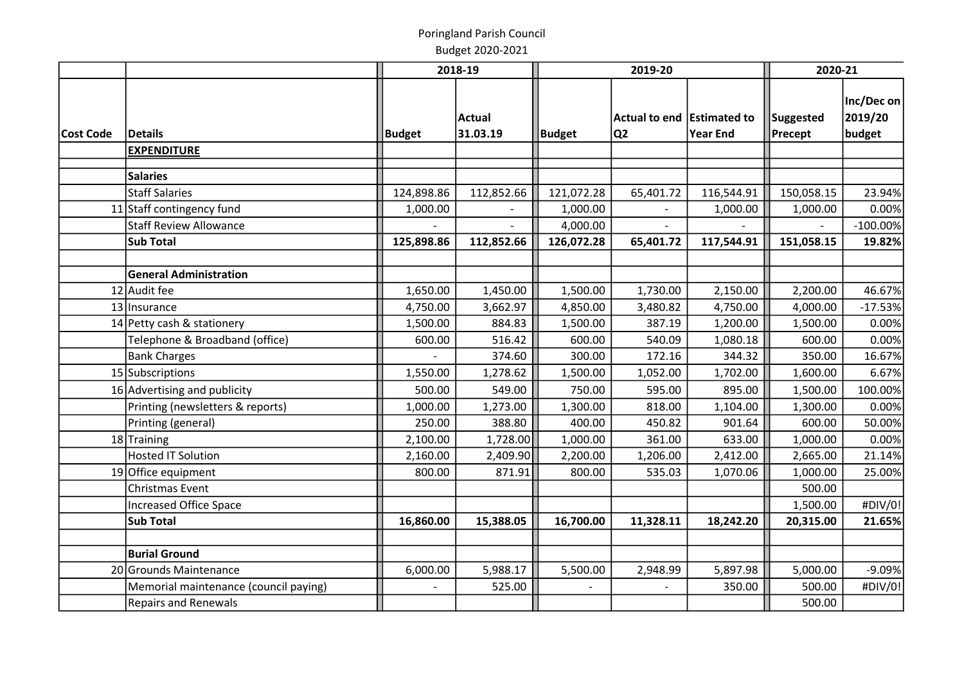|                  |                                       |               | 2018-19                   | 2019-20       |                                              | 2020-21         |                             |                                 |
|------------------|---------------------------------------|---------------|---------------------------|---------------|----------------------------------------------|-----------------|-----------------------------|---------------------------------|
| <b>Cost Code</b> | Details                               | <b>Budget</b> | <b>Actual</b><br>31.03.19 | <b>Budget</b> | Actual to end Estimated to<br>Q <sub>2</sub> | <b>Year End</b> | Suggested<br><b>Precept</b> | Inc/Dec on<br>2019/20<br>budget |
|                  | <b>EXPENDITURE</b>                    |               |                           |               |                                              |                 |                             |                                 |
|                  | <b>Salaries</b>                       |               |                           |               |                                              |                 |                             |                                 |
|                  | Staff Salaries                        | 124,898.86    | 112,852.66                | 121,072.28    | 65,401.72                                    | 116,544.91      | 150,058.15                  | 23.94%                          |
|                  | 11 Staff contingency fund             | 1,000.00      |                           | 1,000.00      |                                              | 1,000.00        | 1,000.00                    | 0.00%                           |
|                  | <b>Staff Review Allowance</b>         |               |                           | 4,000.00      |                                              |                 |                             | $-100.00\%$                     |
|                  | Sub Total                             | 125,898.86    | 112,852.66                | 126,072.28    | 65,401.72                                    | 117,544.91      | 151,058.15                  | 19.82%                          |
|                  | <b>General Administration</b>         |               |                           |               |                                              |                 |                             |                                 |
|                  | 12 Audit fee                          | 1,650.00      | 1,450.00                  | 1,500.00      | 1,730.00                                     | 2,150.00        | 2,200.00                    | 46.67%                          |
|                  | 13 Insurance                          | 4,750.00      | 3,662.97                  | 4,850.00      | 3,480.82                                     | 4,750.00        | 4,000.00                    | $-17.53%$                       |
|                  | 14 Petty cash & stationery            | 1,500.00      | 884.83                    | 1,500.00      | 387.19                                       | 1,200.00        | 1,500.00                    | 0.00%                           |
|                  | Telephone & Broadband (office)        | 600.00        | 516.42                    | 600.00        | 540.09                                       | 1,080.18        | 600.00                      | 0.00%                           |
|                  | <b>Bank Charges</b>                   |               | 374.60                    | 300.00        | 172.16                                       | 344.32          | 350.00                      | 16.67%                          |
|                  | 15 Subscriptions                      | 1,550.00      | 1,278.62                  | 1,500.00      | 1,052.00                                     | 1,702.00        | 1,600.00                    | 6.67%                           |
|                  | 16 Advertising and publicity          | 500.00        | 549.00                    | 750.00        | 595.00                                       | 895.00          | 1,500.00                    | 100.00%                         |
|                  | Printing (newsletters & reports)      | 1,000.00      | 1,273.00                  | 1,300.00      | 818.00                                       | 1,104.00        | 1,300.00                    | 0.00%                           |
|                  | Printing (general)                    | 250.00        | 388.80                    | 400.00        | 450.82                                       | 901.64          | 600.00                      | 50.00%                          |
|                  | 18 Training                           | 2,100.00      | 1,728.00                  | 1,000.00      | 361.00                                       | 633.00          | 1,000.00                    | 0.00%                           |
|                  | <b>Hosted IT Solution</b>             | 2,160.00      | 2,409.90                  | 2,200.00      | 1,206.00                                     | 2,412.00        | 2,665.00                    | 21.14%                          |
|                  | 19 Office equipment                   | 800.00        | 871.91                    | 800.00        | 535.03                                       | 1,070.06        | 1,000.00                    | 25.00%                          |
|                  | Christmas Event                       |               |                           |               |                                              |                 | 500.00                      |                                 |
|                  | Increased Office Space                |               |                           |               |                                              |                 | 1,500.00                    | #DIV/0!                         |
|                  | Sub Total                             | 16,860.00     | 15,388.05                 | 16,700.00     | 11,328.11                                    | 18,242.20       | 20,315.00                   | 21.65%                          |
|                  |                                       |               |                           |               |                                              |                 |                             |                                 |
|                  | <b>Burial Ground</b>                  |               |                           |               |                                              |                 |                             |                                 |
|                  | 20 Grounds Maintenance                | 6,000.00      | 5,988.17                  | 5,500.00      | 2,948.99                                     | 5,897.98        | 5,000.00                    | $-9.09%$                        |
|                  | Memorial maintenance (council paying) |               | 525.00                    |               |                                              | 350.00          | 500.00                      | #DIV/0!                         |
|                  | <b>Repairs and Renewals</b>           |               |                           |               |                                              |                 | 500.00                      |                                 |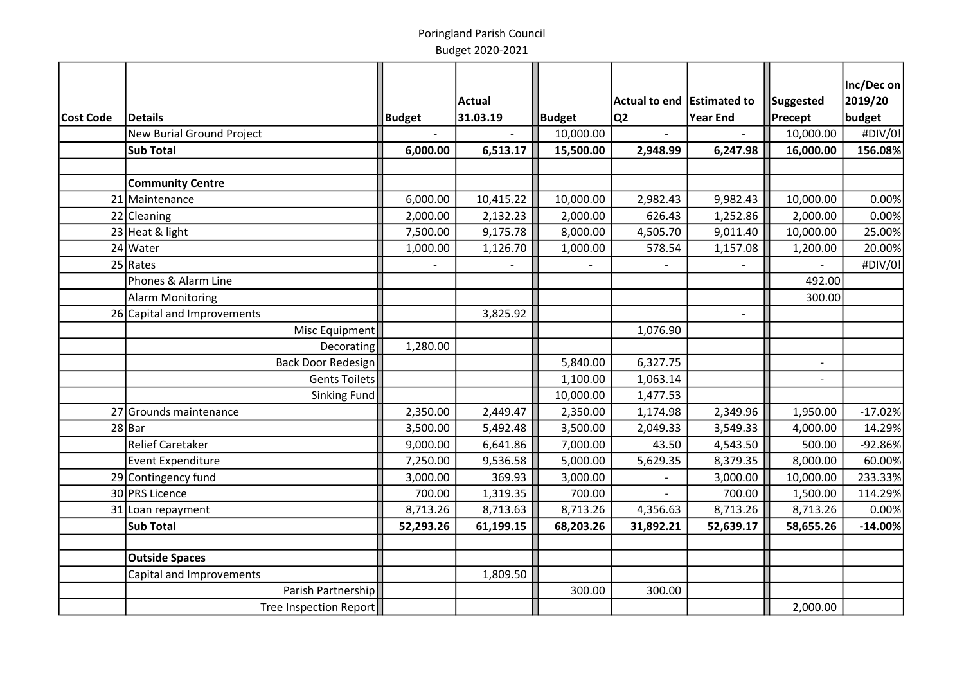|           |                                  |               |               |               |                            |                 |                | Inc/Dec on |
|-----------|----------------------------------|---------------|---------------|---------------|----------------------------|-----------------|----------------|------------|
|           |                                  |               | <b>Actual</b> |               | Actual to end Estimated to |                 | Suggested      | 2019/20    |
| Cost Code | <b>Details</b>                   | <b>Budget</b> | 31.03.19      | <b>Budget</b> | lQ2                        | <b>Year End</b> | Precept        | budget     |
|           | <b>New Burial Ground Project</b> |               |               | 10,000.00     |                            |                 | 10,000.00      | #DIV/0!    |
|           | <b>Sub Total</b>                 | 6,000.00      | 6,513.17      | 15,500.00     | 2,948.99                   | 6,247.98        | 16,000.00      | 156.08%    |
|           |                                  |               |               |               |                            |                 |                |            |
|           | <b>Community Centre</b>          |               |               |               |                            |                 |                |            |
|           | 21 Maintenance                   | 6,000.00      | 10,415.22     | 10,000.00     | 2,982.43                   | 9,982.43        | 10,000.00      | 0.00%      |
|           | 22 Cleaning                      | 2,000.00      | 2,132.23      | 2,000.00      | 626.43                     | 1,252.86        | 2,000.00       | 0.00%      |
|           | 23 Heat & light                  | 7,500.00      | 9,175.78      | 8,000.00      | 4,505.70                   | 9,011.40        | 10,000.00      | 25.00%     |
|           | 24 Water                         | 1,000.00      | 1,126.70      | 1,000.00      | 578.54                     | 1,157.08        | 1,200.00       | 20.00%     |
|           | $25$ Rates                       |               |               |               |                            |                 |                | #DIV/0!    |
|           | Phones & Alarm Line              |               |               |               |                            |                 | 492.00         |            |
|           | <b>Alarm Monitoring</b>          |               |               |               |                            |                 | 300.00         |            |
|           | 26 Capital and Improvements      |               | 3,825.92      |               |                            | $\sim$          |                |            |
|           | Misc Equipment                   |               |               |               | 1,076.90                   |                 |                |            |
|           | Decorating                       | 1,280.00      |               |               |                            |                 |                |            |
|           | <b>Back Door Redesign</b>        |               |               | 5,840.00      | 6,327.75                   |                 | $\blacksquare$ |            |
|           | <b>Gents Toilets</b>             |               |               | 1,100.00      | 1,063.14                   |                 |                |            |
|           | <b>Sinking Fund</b>              |               |               | 10,000.00     | 1,477.53                   |                 |                |            |
|           | 27 Grounds maintenance           | 2,350.00      | 2,449.47      | 2,350.00      | 1,174.98                   | 2,349.96        | 1,950.00       | $-17.02%$  |
|           | $28$ Bar                         | 3,500.00      | 5,492.48      | 3,500.00      | 2,049.33                   | 3,549.33        | 4,000.00       | 14.29%     |
|           | <b>Relief Caretaker</b>          | 9,000.00      | 6,641.86      | 7,000.00      | 43.50                      | 4,543.50        | 500.00         | $-92.86%$  |
|           | Event Expenditure                | 7,250.00      | 9,536.58      | 5,000.00      | 5,629.35                   | 8,379.35        | 8,000.00       | 60.00%     |
|           | 29 Contingency fund              | 3,000.00      | 369.93        | 3,000.00      |                            | 3,000.00        | 10,000.00      | 233.33%    |
|           | 30 PRS Licence                   | 700.00        | 1,319.35      | 700.00        |                            | 700.00          | 1,500.00       | 114.29%    |
|           | 31 Loan repayment                | 8,713.26      | 8,713.63      | 8,713.26      | 4,356.63                   | 8,713.26        | 8,713.26       | 0.00%      |
|           | <b>Sub Total</b>                 | 52,293.26     | 61,199.15     | 68,203.26     | 31,892.21                  | 52,639.17       | 58,655.26      | $-14.00%$  |
|           |                                  |               |               |               |                            |                 |                |            |
|           | <b>Outside Spaces</b>            |               |               |               |                            |                 |                |            |
|           | Capital and Improvements         |               | 1,809.50      |               |                            |                 |                |            |
|           | Parish Partnership               |               |               | 300.00        | 300.00                     |                 |                |            |
|           | Tree Inspection Report           |               |               |               |                            |                 | 2,000.00       |            |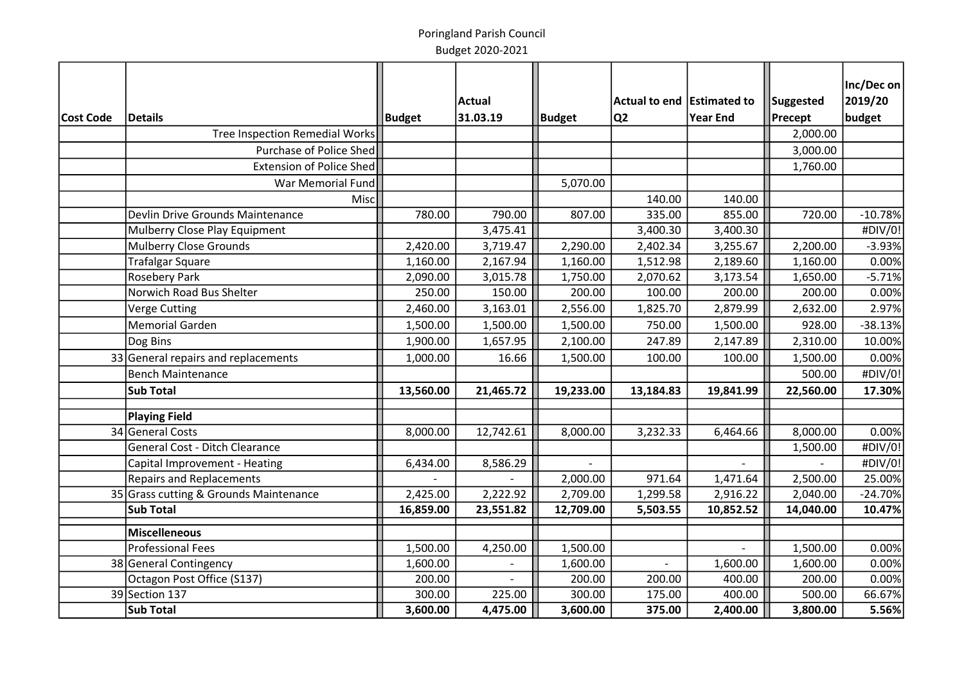|           |                                        |           |           |               |                              |                 |                | Inc/Dec on |
|-----------|----------------------------------------|-----------|-----------|---------------|------------------------------|-----------------|----------------|------------|
|           |                                        |           | Actual    |               | Actual to end   Estimated to |                 | Suggested      | 2019/20    |
| Cost Code | Details                                | Budget    | 31.03.19  | <b>Budget</b> | Q2                           | <b>Year End</b> | <b>Precept</b> | budget     |
|           | Tree Inspection Remedial Works         |           |           |               |                              |                 | 2,000.00       |            |
|           | Purchase of Police Shed                |           |           |               |                              |                 | 3,000.00       |            |
|           | <b>Extension of Police Shed</b>        |           |           |               |                              |                 | 1,760.00       |            |
|           | War Memorial Fund                      |           |           | 5,070.00      |                              |                 |                |            |
|           | Misc                                   |           |           |               | 140.00                       | 140.00          |                |            |
|           | Devlin Drive Grounds Maintenance       | 780.00    | 790.00    | 807.00        | 335.00                       | 855.00          | 720.00         | $-10.78%$  |
|           | Mulberry Close Play Equipment          |           | 3,475.41  |               | 3,400.30                     | 3,400.30        |                | #DIV/0!    |
|           | <b>Mulberry Close Grounds</b>          | 2,420.00  | 3,719.47  | 2,290.00      | 2,402.34                     | 3,255.67        | 2,200.00       | $-3.93%$   |
|           | <b>Trafalgar Square</b>                | 1,160.00  | 2,167.94  | 1,160.00      | 1,512.98                     | 2,189.60        | 1,160.00       | 0.00%      |
|           | <b>Rosebery Park</b>                   | 2,090.00  | 3,015.78  | 1,750.00      | 2,070.62                     | 3,173.54        | 1,650.00       | $-5.71%$   |
|           | Norwich Road Bus Shelter               | 250.00    | 150.00    | 200.00        | 100.00                       | 200.00          | 200.00         | 0.00%      |
|           | <b>Verge Cutting</b>                   | 2,460.00  | 3,163.01  | 2,556.00      | 1,825.70                     | 2,879.99        | 2,632.00       | 2.97%      |
|           | <b>Memorial Garden</b>                 | 1,500.00  | 1,500.00  | 1,500.00      | 750.00                       | 1,500.00        | 928.00         | $-38.13%$  |
|           | Dog Bins                               | 1,900.00  | 1,657.95  | 2,100.00      | 247.89                       | 2,147.89        | 2,310.00       | 10.00%     |
|           | 33 General repairs and replacements    | 1,000.00  | 16.66     | 1,500.00      | 100.00                       | 100.00          | 1,500.00       | 0.00%      |
|           | <b>Bench Maintenance</b>               |           |           |               |                              |                 | 500.00         | #DIV/0!    |
|           | <b>Sub Total</b>                       | 13,560.00 | 21,465.72 | 19,233.00     | 13,184.83                    | 19,841.99       | 22,560.00      | 17.30%     |
|           |                                        |           |           |               |                              |                 |                |            |
|           | Playing Field                          |           |           |               |                              |                 |                |            |
|           | 34 General Costs                       | 8,000.00  | 12,742.61 | 8,000.00      | 3,232.33                     | 6,464.66        | 8,000.00       | 0.00%      |
|           | General Cost - Ditch Clearance         |           |           |               |                              |                 | 1,500.00       | #DIV/0!    |
|           | Capital Improvement - Heating          | 6,434.00  | 8,586.29  | $\mathbf{r}$  |                              |                 |                | #DIV/0!    |
|           | <b>Repairs and Replacements</b>        |           |           | 2,000.00      | 971.64                       | 1,471.64        | 2,500.00       | 25.00%     |
|           | 35 Grass cutting & Grounds Maintenance | 2,425.00  | 2,222.92  | 2,709.00      | 1,299.58                     | 2,916.22        | 2,040.00       | $-24.70%$  |
|           | <b>Sub Total</b>                       | 16,859.00 | 23,551.82 | 12,709.00     | 5,503.55                     | 10,852.52       | 14,040.00      | 10.47%     |
|           | <b>Miscelleneous</b>                   |           |           |               |                              |                 |                |            |
|           | <b>Professional Fees</b>               | 1,500.00  | 4,250.00  | 1,500.00      |                              |                 | 1,500.00       | 0.00%      |
|           | 38 General Contingency                 | 1,600.00  |           | 1,600.00      |                              | 1,600.00        | 1,600.00       | 0.00%      |
|           | Octagon Post Office (S137)             | 200.00    |           | 200.00        | 200.00                       | 400.00          | 200.00         | 0.00%      |
|           | 39 Section 137                         | 300.00    | 225.00    | 300.00        | 175.00                       | 400.00          | 500.00         | 66.67%     |
|           | Sub Total                              | 3,600.00  | 4,475.00  | 3,600.00      | 375.00                       | 2,400.00        | 3,800.00       | 5.56%      |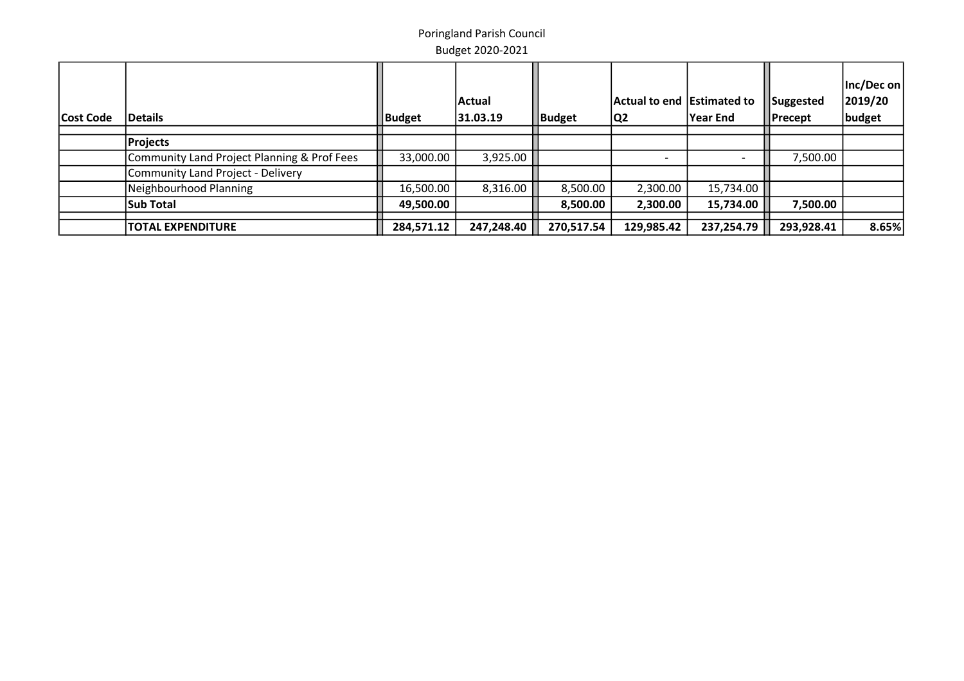| Cost Code | <b>Details</b>                              | Budget     | Actual<br>31.03.19 | Budget     | Actual to end Estimated to<br> Q2 | <b>Year End</b> | Suggested<br><b>Precept</b> | $ Inc/Dec$ on $ $<br>2019/20<br>budget |
|-----------|---------------------------------------------|------------|--------------------|------------|-----------------------------------|-----------------|-----------------------------|----------------------------------------|
|           |                                             |            |                    |            |                                   |                 |                             |                                        |
|           | <b>Projects</b>                             |            |                    |            |                                   |                 |                             |                                        |
|           | Community Land Project Planning & Prof Fees | 33,000.00  | 3,925.00           |            |                                   |                 | 7,500.00                    |                                        |
|           | Community Land Project - Delivery           |            |                    |            |                                   |                 |                             |                                        |
|           | Neighbourhood Planning                      | 16,500.00  | 8,316.00           | 8,500.00   | 2,300.00                          | 15,734.00       |                             |                                        |
|           | <b>Sub Total</b>                            | 49,500.00  |                    | 8,500.00   | 2,300.00                          | 15,734.00       | 7,500.00                    |                                        |
|           | <b>TOTAL EXPENDITURE</b>                    | 284,571.12 | 247,248.40         | 270,517.54 | 129,985.42                        | 237,254.79      | 293,928.41                  | 8.65%                                  |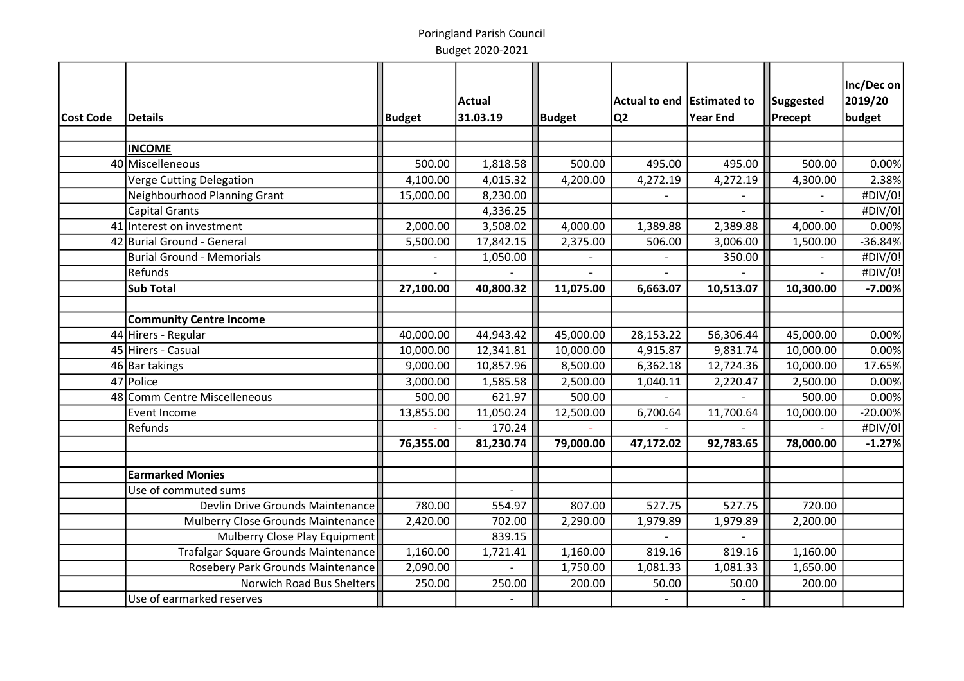|           |                                      |               | <b>Actual</b>  |               | Actual to end Estimated to |                 | Suggested | Inc/Dec on<br>2019/20 |
|-----------|--------------------------------------|---------------|----------------|---------------|----------------------------|-----------------|-----------|-----------------------|
| Cost Code | Details                              | <b>Budget</b> | 31.03.19       | <b>Budget</b> | Q <sub>2</sub>             | <b>Year End</b> | Precept   | budget                |
|           |                                      |               |                |               |                            |                 |           |                       |
|           | <b>INCOME</b>                        |               |                |               |                            |                 |           |                       |
|           | 40 Miscelleneous                     | 500.00        | 1,818.58       | 500.00        | 495.00                     | 495.00          | 500.00    | 0.00%                 |
|           | Verge Cutting Delegation             | 4,100.00      | 4,015.32       | 4,200.00      | 4,272.19                   | 4,272.19        | 4,300.00  | 2.38%                 |
|           | Neighbourhood Planning Grant         | 15,000.00     | 8,230.00       |               |                            |                 |           | #DIV/0!               |
|           | <b>Capital Grants</b>                |               | 4,336.25       |               |                            |                 |           | #DIV/0!               |
|           | 41 Interest on investment            | 2,000.00      | 3,508.02       | 4,000.00      | 1,389.88                   | 2,389.88        | 4,000.00  | 0.00%                 |
|           | 42 Burial Ground - General           | 5,500.00      | 17,842.15      | 2,375.00      | 506.00                     | 3,006.00        | 1,500.00  | $-36.84%$             |
|           | <b>Burial Ground - Memorials</b>     |               | 1,050.00       |               |                            | 350.00          |           | #DIV/0!               |
|           | Refunds                              |               |                |               |                            |                 |           | #DIV/0!               |
|           | <b>Sub Total</b>                     | 27,100.00     | 40,800.32      | 11,075.00     | 6,663.07                   | 10,513.07       | 10,300.00 | $-7.00%$              |
|           |                                      |               |                |               |                            |                 |           |                       |
|           | <b>Community Centre Income</b>       |               |                |               |                            |                 |           |                       |
|           | 44 Hirers - Regular                  | 40,000.00     | 44,943.42      | 45,000.00     | 28,153.22                  | 56,306.44       | 45,000.00 | 0.00%                 |
|           | 45 Hirers - Casual                   | 10,000.00     | 12,341.81      | 10,000.00     | 4,915.87                   | 9,831.74        | 10,000.00 | 0.00%                 |
|           | 46 Bar takings                       | 9,000.00      | 10,857.96      | 8,500.00      | 6,362.18                   | 12,724.36       | 10,000.00 | 17.65%                |
|           | 47 Police                            | 3,000.00      | 1,585.58       | 2,500.00      | 1,040.11                   | 2,220.47        | 2,500.00  | 0.00%                 |
|           | 48 Comm Centre Miscelleneous         | 500.00        | 621.97         | 500.00        |                            |                 | 500.00    | 0.00%                 |
|           | Event Income                         | 13,855.00     | 11,050.24      | 12,500.00     | 6,700.64                   | 11,700.64       | 10,000.00 | $-20.00%$             |
|           | Refunds                              |               | 170.24         |               |                            |                 |           | #DIV/0!               |
|           |                                      | 76,355.00     | 81,230.74      | 79,000.00     | 47,172.02                  | 92,783.65       | 78,000.00 | $-1.27%$              |
|           |                                      |               |                |               |                            |                 |           |                       |
|           | <b>Earmarked Monies</b>              |               |                |               |                            |                 |           |                       |
|           | Use of commuted sums                 |               | $\overline{a}$ |               |                            |                 |           |                       |
|           | Devlin Drive Grounds Maintenance     | 780.00        | 554.97         | 807.00        | 527.75                     | 527.75          | 720.00    |                       |
|           | Mulberry Close Grounds Maintenance   | 2,420.00      | 702.00         | 2,290.00      | 1,979.89                   | 1,979.89        | 2,200.00  |                       |
|           | Mulberry Close Play Equipment        |               | 839.15         |               |                            |                 |           |                       |
|           | Trafalgar Square Grounds Maintenance | 1,160.00      | 1,721.41       | 1,160.00      | 819.16                     | 819.16          | 1,160.00  |                       |
|           | Rosebery Park Grounds Maintenance    | 2,090.00      |                | 1,750.00      | 1,081.33                   | 1,081.33        | 1,650.00  |                       |
|           | <b>Norwich Road Bus Shelters</b>     | 250.00        | 250.00         | 200.00        | 50.00                      | 50.00           | 200.00    |                       |
|           | Use of earmarked reserves            |               |                |               |                            | $\overline{a}$  |           |                       |